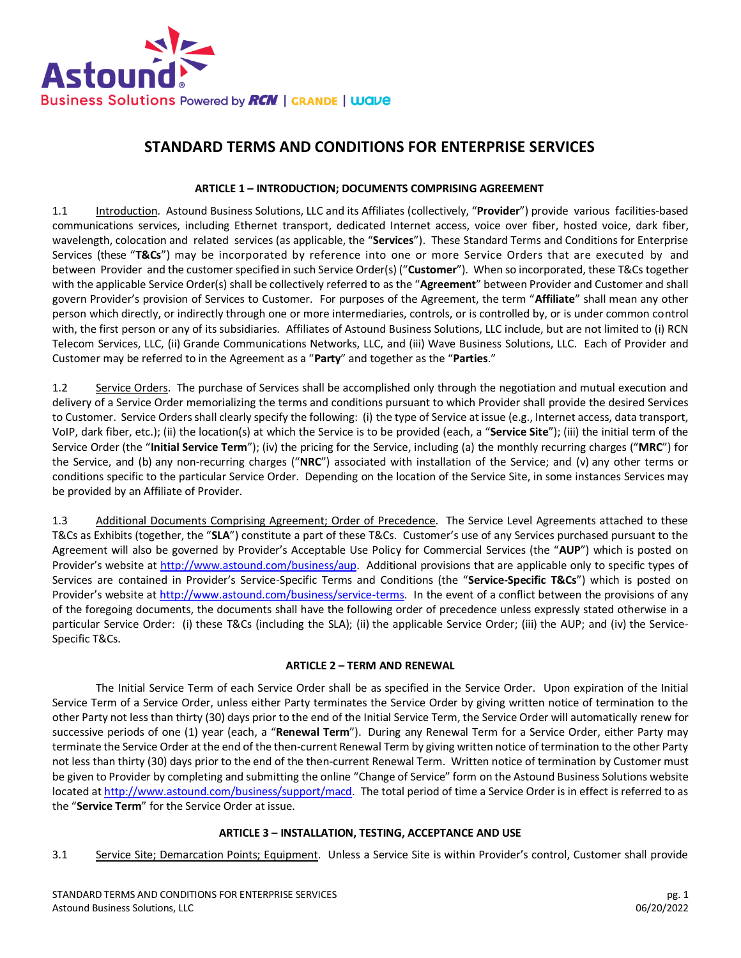

# **STANDARD TERMS AND CONDITIONS FOR ENTERPRISE SERVICES**

# **ARTICLE 1 – INTRODUCTION; DOCUMENTS COMPRISING AGREEMENT**

1.1 **Introduction**. Astound Business Solutions, LLC and its Affiliates (collectively, "Provider") provide various facilities-based communications services, including Ethernet transport, dedicated Internet access, voice over fiber, hosted voice, dark fiber, wavelength, colocation and related services (as applicable, the "**Services**"). These Standard Terms and Conditions for Enterprise Services (these "**T&Cs**") may be incorporated by reference into one or more Service Orders that are executed by and between Provider and the customer specified in such Service Order(s) ("**Customer**"). When so incorporated, these T&Cs together with the applicable Service Order(s) shall be collectively referred to as the "**Agreement**" between Provider and Customer and shall govern Provider's provision of Services to Customer. For purposes of the Agreement, the term "**Affiliate**" shall mean any other person which directly, or indirectly through one or more intermediaries, controls, or is controlled by, or is under common control with, the first person or any of its subsidiaries. Affiliates of Astound Business Solutions, LLC include, but are not limited to (i) RCN Telecom Services, LLC, (ii) Grande Communications Networks, LLC, and (iii) Wave Business Solutions, LLC. Each of Provider and Customer may be referred to in the Agreement as a "**Party**" and together as the "**Parties**."

1.2 Service Orders. The purchase of Services shall be accomplished only through the negotiation and mutual execution and delivery of a Service Order memorializing the terms and conditions pursuant to which Provider shall provide the desired Services to Customer. Service Orders shall clearly specify the following: (i) the type of Service at issue (e.g., Internet access, data transport, VoIP, dark fiber, etc.); (ii) the location(s) at which the Service is to be provided (each, a "**Service Site**"); (iii) the initial term of the Service Order (the "**Initial Service Term**"); (iv) the pricing for the Service, including (a) the monthly recurring charges ("**MRC**") for the Service, and (b) any non-recurring charges ("**NRC**") associated with installation of the Service; and (v) any other terms or conditions specific to the particular Service Order. Depending on the location of the Service Site, in some instances Services may be provided by an Affiliate of Provider.

1.3 Additional Documents Comprising Agreement; Order of Precedence. The Service Level Agreements attached to these T&Cs as Exhibits (together, the "**SLA**") constitute a part of these T&Cs. Customer's use of any Services purchased pursuant to the Agreement will also be governed by Provider's Acceptable Use Policy for Commercial Services (the "**AUP**") which is posted on Provider's website at [http://www.astound.com/business/aup.](http://www.astound.com/business/aup) Additional provisions that are applicable only to specific types of Services are contained in Provider's Service-Specific Terms and Conditions (the "**Service-Specific T&Cs**") which is posted on Provider's website at [http://www.astound.com/business/service-terms.](http://www.astound.com/business/service-terms) In the event of a conflict between the provisions of any of the foregoing documents, the documents shall have the following order of precedence unless expressly stated otherwise in a particular Service Order: (i) these T&Cs (including the SLA); (ii) the applicable Service Order; (iii) the AUP; and (iv) the Service-Specific T&Cs.

#### **ARTICLE 2 – TERM AND RENEWAL**

The Initial Service Term of each Service Order shall be as specified in the Service Order. Upon expiration of the Initial Service Term of a Service Order, unless either Party terminates the Service Order by giving written notice of termination to the other Party not less than thirty (30) days prior to the end of the Initial Service Term, the Service Order will automatically renew for successive periods of one (1) year (each, a "**Renewal Term**"). During any Renewal Term for a Service Order, either Party may terminate the Service Order at the end of the then-current Renewal Term by giving written notice of termination to the other Party not less than thirty (30) days prior to the end of the then-current Renewal Term. Written notice of termination by Customer must be given to Provider by completing and submitting the online "Change of Service" form on the Astound Business Solutions website located a[t http://www.astound.com/business/support/macd.](http://www.astound.com/business/support/macd) The total period of time a Service Order is in effect is referred to as the "**Service Term**" for the Service Order at issue.

# **ARTICLE 3 – INSTALLATION, TESTING, ACCEPTANCE AND USE**

3.1 Service Site; Demarcation Points; Equipment. Unless a Service Site is within Provider's control, Customer shall provide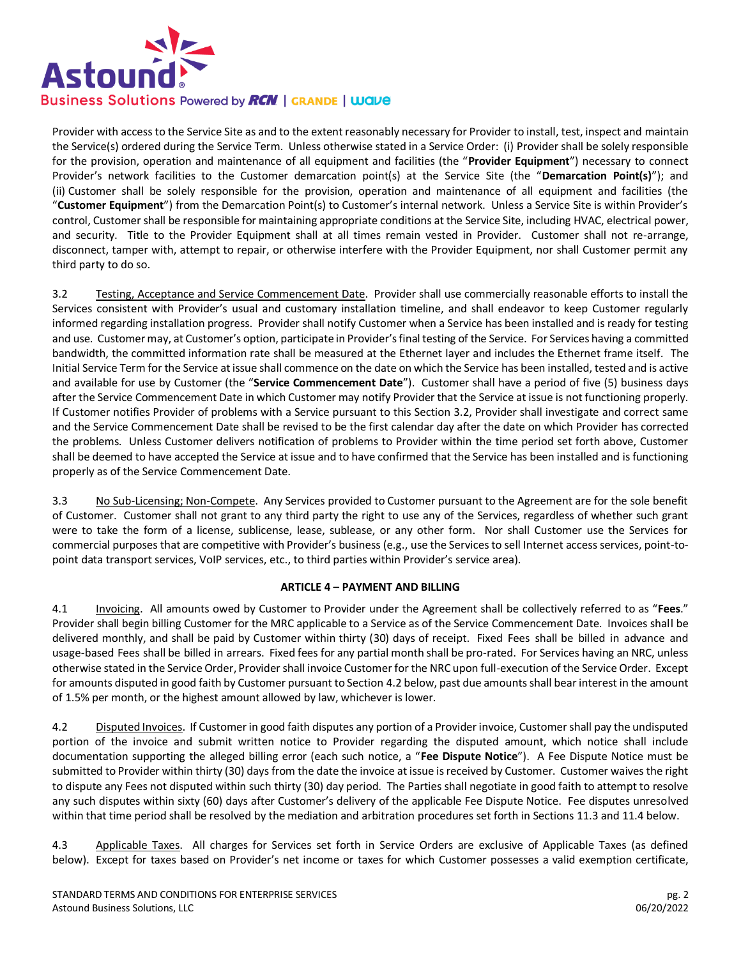

Provider with access to the Service Site as and to the extent reasonably necessary for Provider to install, test, inspect and maintain the Service(s) ordered during the Service Term. Unless otherwise stated in a Service Order: (i) Provider shall be solely responsible for the provision, operation and maintenance of all equipment and facilities (the "**Provider Equipment**") necessary to connect Provider's network facilities to the Customer demarcation point(s) at the Service Site (the "**Demarcation Point(s)**"); and (ii) Customer shall be solely responsible for the provision, operation and maintenance of all equipment and facilities (the "**Customer Equipment**") from the Demarcation Point(s) to Customer's internal network. Unless a Service Site is within Provider's control, Customer shall be responsible for maintaining appropriate conditions at the Service Site, including HVAC, electrical power, and security. Title to the Provider Equipment shall at all times remain vested in Provider. Customer shall not re-arrange, disconnect, tamper with, attempt to repair, or otherwise interfere with the Provider Equipment, nor shall Customer permit any third party to do so.

3.2 Testing, Acceptance and Service Commencement Date. Provider shall use commercially reasonable efforts to install the Services consistent with Provider's usual and customary installation timeline, and shall endeavor to keep Customer regularly informed regarding installation progress. Provider shall notify Customer when a Service has been installed and is ready for testing and use. Customer may, at Customer's option, participate in Provider's final testing of the Service. For Services having a committed bandwidth, the committed information rate shall be measured at the Ethernet layer and includes the Ethernet frame itself. The Initial Service Term for the Service at issue shall commence on the date on which the Service has been installed, tested and is active and available for use by Customer (the "**Service Commencement Date**"). Customer shall have a period of five (5) business days after the Service Commencement Date in which Customer may notify Provider that the Service at issue is not functioning properly. If Customer notifies Provider of problems with a Service pursuant to this Section 3.2, Provider shall investigate and correct same and the Service Commencement Date shall be revised to be the first calendar day after the date on which Provider has corrected the problems. Unless Customer delivers notification of problems to Provider within the time period set forth above, Customer shall be deemed to have accepted the Service at issue and to have confirmed that the Service has been installed and is functioning properly as of the Service Commencement Date.

3.3 No Sub-Licensing; Non-Compete. Any Services provided to Customer pursuant to the Agreement are for the sole benefit of Customer. Customer shall not grant to any third party the right to use any of the Services, regardless of whether such grant were to take the form of a license, sublicense, lease, sublease, or any other form. Nor shall Customer use the Services for commercial purposes that are competitive with Provider's business (e.g., use the Services to sell Internet access services, point-topoint data transport services, VoIP services, etc., to third parties within Provider's service area).

# **ARTICLE 4 – PAYMENT AND BILLING**

4.1 Invoicing. All amounts owed by Customer to Provider under the Agreement shall be collectively referred to as "**Fees**." Provider shall begin billing Customer for the MRC applicable to a Service as of the Service Commencement Date. Invoices shall be delivered monthly, and shall be paid by Customer within thirty (30) days of receipt. Fixed Fees shall be billed in advance and usage-based Fees shall be billed in arrears. Fixed fees for any partial month shall be pro-rated. For Services having an NRC, unless otherwise stated in the Service Order, Provider shall invoice Customer for the NRC upon full-execution of the Service Order. Except for amounts disputed in good faith by Customer pursuant to Section 4.2 below, past due amounts shall bear interest in the amount of 1.5% per month, or the highest amount allowed by law, whichever is lower.

4.2 Disputed Invoices. If Customer in good faith disputes any portion of a Provider invoice, Customer shall pay the undisputed portion of the invoice and submit written notice to Provider regarding the disputed amount, which notice shall include documentation supporting the alleged billing error (each such notice, a "**Fee Dispute Notice**"). A Fee Dispute Notice must be submitted to Provider within thirty (30) days from the date the invoice at issue is received by Customer. Customer waives the right to dispute any Fees not disputed within such thirty (30) day period. The Parties shall negotiate in good faith to attempt to resolve any such disputes within sixty (60) days after Customer's delivery of the applicable Fee Dispute Notice. Fee disputes unresolved within that time period shall be resolved by the mediation and arbitration procedures set forth in Sections 11.3 and 11.4 below.

4.3 Applicable Taxes. All charges for Services set forth in Service Orders are exclusive of Applicable Taxes (as defined below). Except for taxes based on Provider's net income or taxes for which Customer possesses a valid exemption certificate,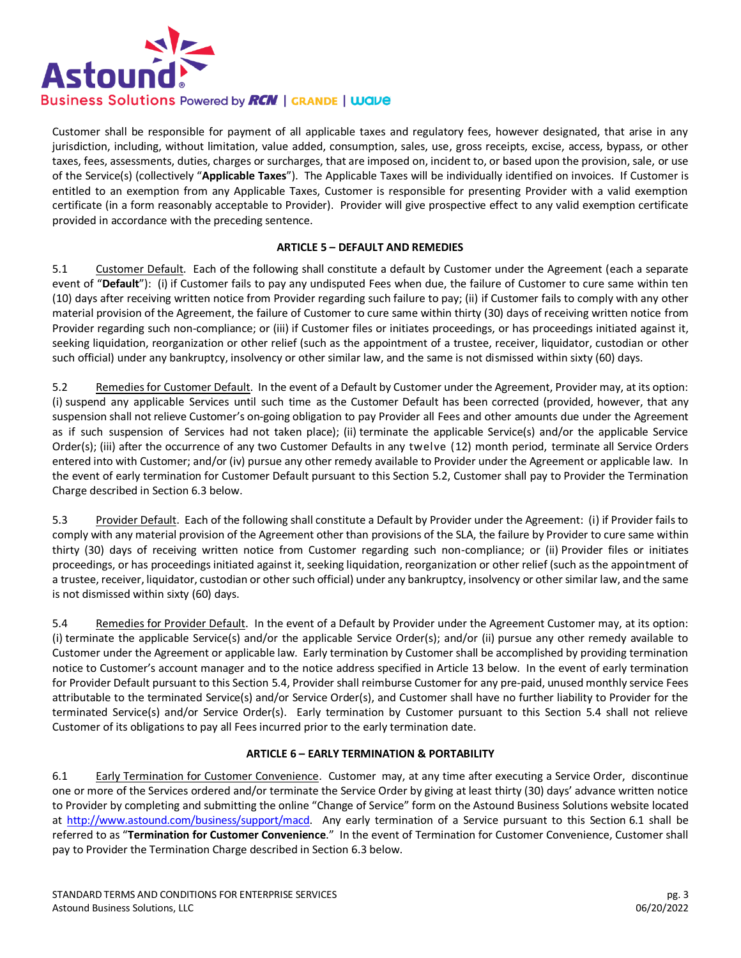

Customer shall be responsible for payment of all applicable taxes and regulatory fees, however designated, that arise in any jurisdiction, including, without limitation, value added, consumption, sales, use, gross receipts, excise, access, bypass, or other taxes, fees, assessments, duties, charges or surcharges, that are imposed on, incident to, or based upon the provision, sale, or use of the Service(s) (collectively "**Applicable Taxes**"). The Applicable Taxes will be individually identified on invoices. If Customer is entitled to an exemption from any Applicable Taxes, Customer is responsible for presenting Provider with a valid exemption certificate (in a form reasonably acceptable to Provider). Provider will give prospective effect to any valid exemption certificate provided in accordance with the preceding sentence.

# **ARTICLE 5 – DEFAULT AND REMEDIES**

5.1 Customer Default. Each of the following shall constitute a default by Customer under the Agreement (each a separate event of "**Default**"): (i) if Customer fails to pay any undisputed Fees when due, the failure of Customer to cure same within ten (10) days after receiving written notice from Provider regarding such failure to pay; (ii) if Customer fails to comply with any other material provision of the Agreement, the failure of Customer to cure same within thirty (30) days of receiving written notice from Provider regarding such non-compliance; or (iii) if Customer files or initiates proceedings, or has proceedings initiated against it, seeking liquidation, reorganization or other relief (such as the appointment of a trustee, receiver, liquidator, custodian or other such official) under any bankruptcy, insolvency or other similar law, and the same is not dismissed within sixty (60) days.

5.2 Remedies for Customer Default. In the event of a Default by Customer under the Agreement, Provider may, at its option: (i) suspend any applicable Services until such time as the Customer Default has been corrected (provided, however, that any suspension shall not relieve Customer's on-going obligation to pay Provider all Fees and other amounts due under the Agreement as if such suspension of Services had not taken place); (ii) terminate the applicable Service(s) and/or the applicable Service Order(s); (iii) after the occurrence of any two Customer Defaults in any twelve (12) month period, terminate all Service Orders entered into with Customer; and/or (iv) pursue any other remedy available to Provider under the Agreement or applicable law. In the event of early termination for Customer Default pursuant to this Section 5.2, Customer shall pay to Provider the Termination Charge described in Section 6.3 below.

5.3 Provider Default. Each of the following shall constitute a Default by Provider under the Agreement: (i) if Provider fails to comply with any material provision of the Agreement other than provisions of the SLA, the failure by Provider to cure same within thirty (30) days of receiving written notice from Customer regarding such non-compliance; or (ii) Provider files or initiates proceedings, or has proceedings initiated against it, seeking liquidation, reorganization or other relief (such as the appointment of a trustee, receiver, liquidator, custodian or other such official) under any bankruptcy, insolvency or other similar law, and the same is not dismissed within sixty (60) days.

5.4 Remedies for Provider Default. In the event of a Default by Provider under the Agreement Customer may, at its option: (i) terminate the applicable Service(s) and/or the applicable Service Order(s); and/or (ii) pursue any other remedy available to Customer under the Agreement or applicable law. Early termination by Customer shall be accomplished by providing termination notice to Customer's account manager and to the notice address specified in Article 13 below. In the event of early termination for Provider Default pursuant to this Section 5.4, Provider shall reimburse Customer for any pre-paid, unused monthly service Fees attributable to the terminated Service(s) and/or Service Order(s), and Customer shall have no further liability to Provider for the terminated Service(s) and/or Service Order(s). Early termination by Customer pursuant to this Section 5.4 shall not relieve Customer of its obligations to pay all Fees incurred prior to the early termination date.

# **ARTICLE 6 – EARLY TERMINATION & PORTABILITY**

6.1 Early Termination for Customer Convenience. Customer may, at any time after executing a Service Order, discontinue one or more of the Services ordered and/or terminate the Service Order by giving at least thirty (30) days' advance written notice to Provider by completing and submitting the online "Change of Service" form on the Astound Business Solutions website located at [http://www.astound.com/business/support/macd.](http://www.astound.com/business/support/macd) Any early termination of a Service pursuant to this Section 6.1 shall be referred to as "**Termination for Customer Convenience**." In the event of Termination for Customer Convenience, Customer shall pay to Provider the Termination Charge described in Section 6.3 below.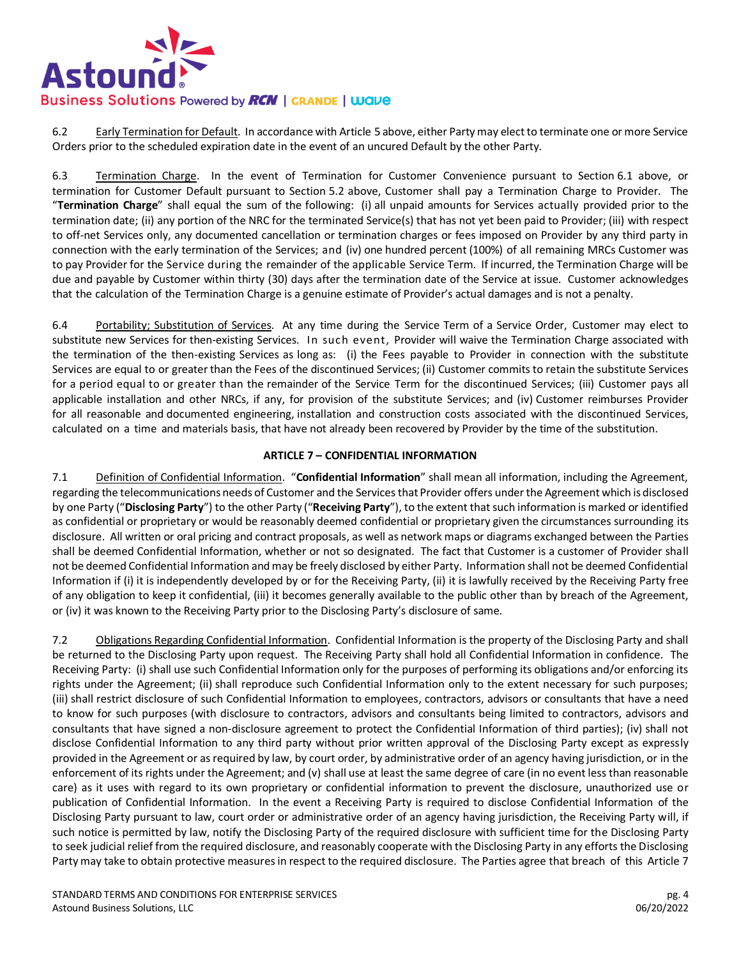

6.2 Early Termination for Default. In accordance with Article 5 above, either Party may elect to terminate one or more Service Orders prior to the scheduled expiration date in the event of an uncured Default by the other Party.

6.3 Termination Charge. In the event of Termination for Customer Convenience pursuant to Section 6.1 above, or termination for Customer Default pursuant to Section 5.2 above, Customer shall pay a Termination Charge to Provider. The "**Termination Charge**" shall equal the sum of the following: (i) all unpaid amounts for Services actually provided prior to the termination date; (ii) any portion of the NRC for the terminated Service(s) that has not yet been paid to Provider; (iii) with respect to off-net Services only, any documented cancellation or termination charges or fees imposed on Provider by any third party in connection with the early termination of the Services; and (iv) one hundred percent (100%) of all remaining MRCs Customer was to pay Provider for the Service during the remainder of the applicable Service Term. If incurred, the Termination Charge will be due and payable by Customer within thirty (30) days after the termination date of the Service at issue. Customer acknowledges that the calculation of the Termination Charge is a genuine estimate of Provider's actual damages and is not a penalty.

6.4 Portability; Substitution of Services. At any time during the Service Term of a Service Order, Customer may elect to substitute new Services for then-existing Services. In such event, Provider will waive the Termination Charge associated with the termination of the then-existing Services as long as: (i) the Fees payable to Provider in connection with the substitute Services are equal to or greater than the Fees of the discontinued Services; (ii) Customer commits to retain the substitute Services for a period equal to or greater than the remainder of the Service Term for the discontinued Services; (iii) Customer pays all applicable installation and other NRCs, if any, for provision of the substitute Services; and (iv) Customer reimburses Provider for all reasonable and documented engineering, installation and construction costs associated with the discontinued Services, calculated on a time and materials basis, that have not already been recovered by Provider by the time of the substitution.

# **ARTICLE 7 – CONFIDENTIAL INFORMATION**

7.1 Definition of Confidential Information. "**Confidential Information**" shall mean all information, including the Agreement, regarding the telecommunications needs of Customer and the Services that Provider offers under the Agreement which is disclosed by one Party ("**Disclosing Party**") to the other Party ("**Receiving Party**"), to the extent that such information is marked or identified as confidential or proprietary or would be reasonably deemed confidential or proprietary given the circumstances surrounding its disclosure. All written or oral pricing and contract proposals, as well as network maps or diagrams exchanged between the Parties shall be deemed Confidential Information, whether or not so designated. The fact that Customer is a customer of Provider shall not be deemed Confidential Information and may be freely disclosed by either Party. Information shall not be deemed Confidential Information if (i) it is independently developed by or for the Receiving Party, (ii) it is lawfully received by the Receiving Party free of any obligation to keep it confidential, (iii) it becomes generally available to the public other than by breach of the Agreement, or (iv) it was known to the Receiving Party prior to the Disclosing Party's disclosure of same.

7.2 Obligations Regarding Confidential Information. Confidential Information is the property of the Disclosing Party and shall be returned to the Disclosing Party upon request. The Receiving Party shall hold all Confidential Information in confidence. The Receiving Party: (i) shall use such Confidential Information only for the purposes of performing its obligations and/or enforcing its rights under the Agreement; (ii) shall reproduce such Confidential Information only to the extent necessary for such purposes; (iii) shall restrict disclosure of such Confidential Information to employees, contractors, advisors or consultants that have a need to know for such purposes (with disclosure to contractors, advisors and consultants being limited to contractors, advisors and consultants that have signed a non-disclosure agreement to protect the Confidential Information of third parties); (iv) shall not disclose Confidential Information to any third party without prior written approval of the Disclosing Party except as expressly provided in the Agreement or as required by law, by court order, by administrative order of an agency having jurisdiction, or in the enforcement of its rights under the Agreement; and (v) shall use at least the same degree of care (in no event less than reasonable care) as it uses with regard to its own proprietary or confidential information to prevent the disclosure, unauthorized use or publication of Confidential Information. In the event a Receiving Party is required to disclose Confidential Information of the Disclosing Party pursuant to law, court order or administrative order of an agency having jurisdiction, the Receiving Party will, if such notice is permitted by law, notify the Disclosing Party of the required disclosure with sufficient time for the Disclosing Party to seek judicial relief from the required disclosure, and reasonably cooperate with the Disclosing Party in any efforts the Disclosing Party may take to obtain protective measures in respect to the required disclosure. The Parties agree that breach of this Article 7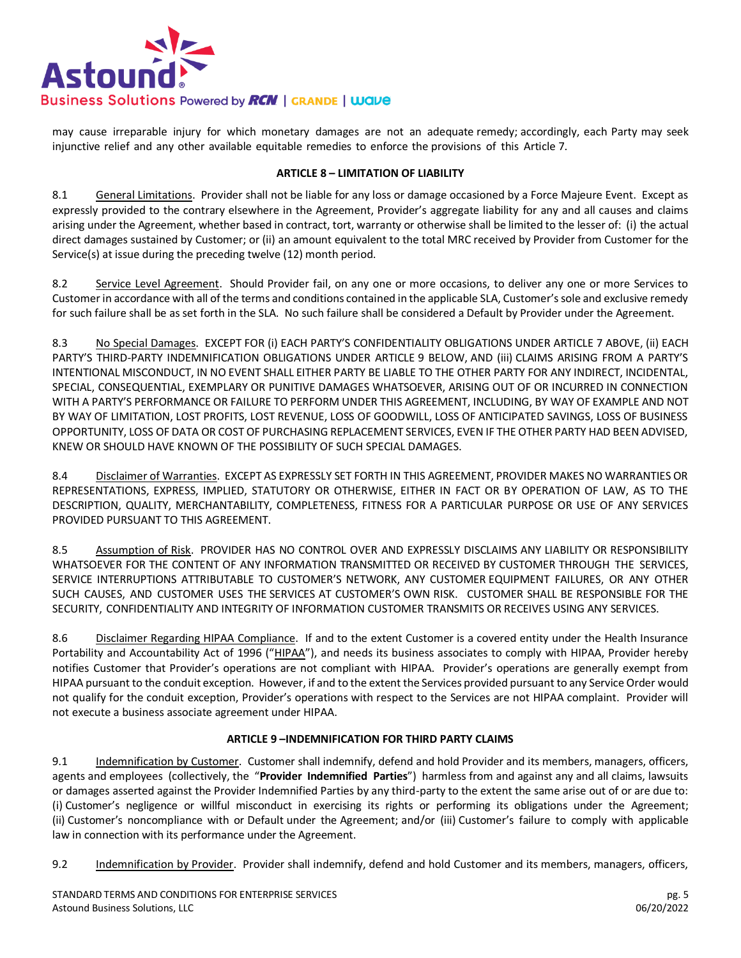

may cause irreparable injury for which monetary damages are not an adequate remedy; accordingly, each Party may seek injunctive relief and any other available equitable remedies to enforce the provisions of this Article 7.

### **ARTICLE 8 – LIMITATION OF LIABILITY**

8.1 General Limitations. Provider shall not be liable for any loss or damage occasioned by a Force Majeure Event. Except as expressly provided to the contrary elsewhere in the Agreement, Provider's aggregate liability for any and all causes and claims arising under the Agreement, whether based in contract, tort, warranty or otherwise shall be limited to the lesser of: (i) the actual direct damages sustained by Customer; or (ii) an amount equivalent to the total MRC received by Provider from Customer for the Service(s) at issue during the preceding twelve (12) month period.

8.2 Service Level Agreement. Should Provider fail, on any one or more occasions, to deliver any one or more Services to Customer in accordance with all of the terms and conditions contained in the applicable SLA, Customer's sole and exclusive remedy for such failure shall be as set forth in the SLA. No such failure shall be considered a Default by Provider under the Agreement.

8.3 No Special Damages. EXCEPT FOR (i) EACH PARTY'S CONFIDENTIALITY OBLIGATIONS UNDER ARTICLE 7 ABOVE, (ii) EACH PARTY'S THIRD-PARTY INDEMNIFICATION OBLIGATIONS UNDER ARTICLE 9 BELOW, AND (iii) CLAIMS ARISING FROM A PARTY'S INTENTIONAL MISCONDUCT, IN NO EVENT SHALL EITHER PARTY BE LIABLE TO THE OTHER PARTY FOR ANY INDIRECT, INCIDENTAL, SPECIAL, CONSEQUENTIAL, EXEMPLARY OR PUNITIVE DAMAGES WHATSOEVER, ARISING OUT OF OR INCURRED IN CONNECTION WITH A PARTY'S PERFORMANCE OR FAILURE TO PERFORM UNDER THIS AGREEMENT, INCLUDING, BY WAY OF EXAMPLE AND NOT BY WAY OF LIMITATION, LOST PROFITS, LOST REVENUE, LOSS OF GOODWILL, LOSS OF ANTICIPATED SAVINGS, LOSS OF BUSINESS OPPORTUNITY, LOSS OF DATA OR COST OF PURCHASING REPLACEMENT SERVICES, EVEN IF THE OTHER PARTY HAD BEEN ADVISED, KNEW OR SHOULD HAVE KNOWN OF THE POSSIBILITY OF SUCH SPECIAL DAMAGES.

8.4 Disclaimer of Warranties. EXCEPT AS EXPRESSLY SET FORTH IN THIS AGREEMENT, PROVIDER MAKES NO WARRANTIES OR REPRESENTATIONS, EXPRESS, IMPLIED, STATUTORY OR OTHERWISE, EITHER IN FACT OR BY OPERATION OF LAW, AS TO THE DESCRIPTION, QUALITY, MERCHANTABILITY, COMPLETENESS, FITNESS FOR A PARTICULAR PURPOSE OR USE OF ANY SERVICES PROVIDED PURSUANT TO THIS AGREEMENT.

8.5 Assumption of Risk. PROVIDER HAS NO CONTROL OVER AND EXPRESSLY DISCLAIMS ANY LIABILITY OR RESPONSIBILITY WHATSOEVER FOR THE CONTENT OF ANY INFORMATION TRANSMITTED OR RECEIVED BY CUSTOMER THROUGH THE SERVICES, SERVICE INTERRUPTIONS ATTRIBUTABLE TO CUSTOMER'S NETWORK, ANY CUSTOMER EQUIPMENT FAILURES, OR ANY OTHER SUCH CAUSES, AND CUSTOMER USES THE SERVICES AT CUSTOMER'S OWN RISK. CUSTOMER SHALL BE RESPONSIBLE FOR THE SECURITY, CONFIDENTIALITY AND INTEGRITY OF INFORMATION CUSTOMER TRANSMITS OR RECEIVES USING ANY SERVICES.

8.6 Disclaimer Regarding HIPAA Compliance. If and to the extent Customer is a covered entity under the Health Insurance Portability and Accountability Act of 1996 ("HIPAA"), and needs its business associates to comply with HIPAA, Provider hereby notifies Customer that Provider's operations are not compliant with HIPAA. Provider's operations are generally exempt from HIPAA pursuant to the conduit exception. However, if and to the extent the Services provided pursuant to any Service Order would not qualify for the conduit exception, Provider's operations with respect to the Services are not HIPAA complaint. Provider will not execute a business associate agreement under HIPAA.

# **ARTICLE 9 –INDEMNIFICATION FOR THIRD PARTY CLAIMS**

9.1 Indemnification by Customer. Customer shall indemnify, defend and hold Provider and its members, managers, officers, agents and employees (collectively, the "**Provider Indemnified Parties**") harmless from and against any and all claims, lawsuits or damages asserted against the Provider Indemnified Parties by any third-party to the extent the same arise out of or are due to: (i) Customer's negligence or willful misconduct in exercising its rights or performing its obligations under the Agreement; (ii) Customer's noncompliance with or Default under the Agreement; and/or (iii) Customer's failure to comply with applicable law in connection with its performance under the Agreement.

9.2 Indemnification by Provider. Provider shall indemnify, defend and hold Customer and its members, managers, officers,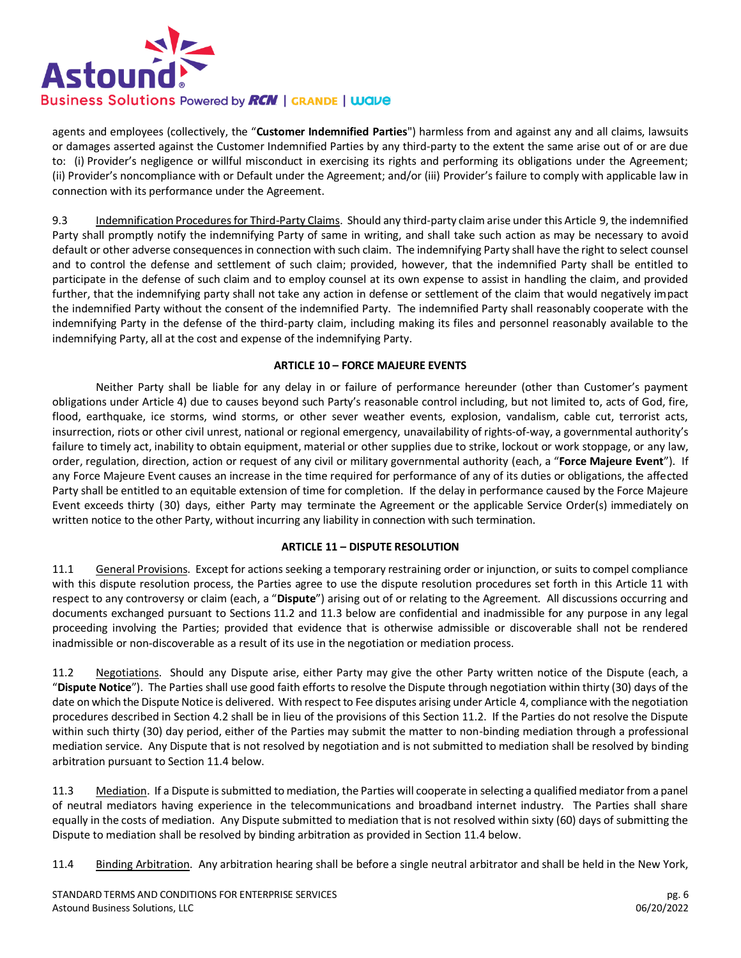

agents and employees (collectively, the "**Customer Indemnified Parties**") harmless from and against any and all claims, lawsuits or damages asserted against the Customer Indemnified Parties by any third-party to the extent the same arise out of or are due to: (i) Provider's negligence or willful misconduct in exercising its rights and performing its obligations under the Agreement; (ii) Provider's noncompliance with or Default under the Agreement; and/or (iii) Provider's failure to comply with applicable law in connection with its performance under the Agreement.

9.3 Indemnification Procedures for Third-Party Claims. Should any third-party claim arise under this Article 9, the indemnified Party shall promptly notify the indemnifying Party of same in writing, and shall take such action as may be necessary to avoid default or other adverse consequences in connection with such claim. The indemnifying Party shall have the right to select counsel and to control the defense and settlement of such claim; provided, however, that the indemnified Party shall be entitled to participate in the defense of such claim and to employ counsel at its own expense to assist in handling the claim, and provided further, that the indemnifying party shall not take any action in defense or settlement of the claim that would negatively impact the indemnified Party without the consent of the indemnified Party. The indemnified Party shall reasonably cooperate with the indemnifying Party in the defense of the third-party claim, including making its files and personnel reasonably available to the indemnifying Party, all at the cost and expense of the indemnifying Party.

# **ARTICLE 10 – FORCE MAJEURE EVENTS**

Neither Party shall be liable for any delay in or failure of performance hereunder (other than Customer's payment obligations under Article 4) due to causes beyond such Party's reasonable control including, but not limited to, acts of God, fire, flood, earthquake, ice storms, wind storms, or other sever weather events, explosion, vandalism, cable cut, terrorist acts, insurrection, riots or other civil unrest, national or regional emergency, unavailability of rights-of-way, a governmental authority's failure to timely act, inability to obtain equipment, material or other supplies due to strike, lockout or work stoppage, or any law, order, regulation, direction, action or request of any civil or military governmental authority (each, a "**Force Majeure Event**"). If any Force Majeure Event causes an increase in the time required for performance of any of its duties or obligations, the affected Party shall be entitled to an equitable extension of time for completion. If the delay in performance caused by the Force Majeure Event exceeds thirty (30) days, either Party may terminate the Agreement or the applicable Service Order(s) immediately on written notice to the other Party, without incurring any liability in connection with such termination.

#### **ARTICLE 11 – DISPUTE RESOLUTION**

11.1 General Provisions. Except for actions seeking a temporary restraining order or injunction, or suits to compel compliance with this dispute resolution process, the Parties agree to use the dispute resolution procedures set forth in this Article 11 with respect to any controversy or claim (each, a "**Dispute**") arising out of or relating to the Agreement. All discussions occurring and documents exchanged pursuant to Sections 11.2 and 11.3 below are confidential and inadmissible for any purpose in any legal proceeding involving the Parties; provided that evidence that is otherwise admissible or discoverable shall not be rendered inadmissible or non-discoverable as a result of its use in the negotiation or mediation process.

11.2 Negotiations. Should any Dispute arise, either Party may give the other Party written notice of the Dispute (each, a "**Dispute Notice**"). The Parties shall use good faith efforts to resolve the Dispute through negotiation within thirty (30) days of the date on which the Dispute Notice is delivered. With respect to Fee disputes arising under Article 4, compliance with the negotiation procedures described in Section 4.2 shall be in lieu of the provisions of this Section 11.2. If the Parties do not resolve the Dispute within such thirty (30) day period, either of the Parties may submit the matter to non-binding mediation through a professional mediation service. Any Dispute that is not resolved by negotiation and is not submitted to mediation shall be resolved by binding arbitration pursuant to Section 11.4 below.

11.3 Mediation. If a Dispute is submitted to mediation, the Parties will cooperate in selecting a qualified mediator from a panel of neutral mediators having experience in the telecommunications and broadband internet industry. The Parties shall share equally in the costs of mediation. Any Dispute submitted to mediation that is not resolved within sixty (60) days of submitting the Dispute to mediation shall be resolved by binding arbitration as provided in Section 11.4 below.

11.4 Binding Arbitration. Any arbitration hearing shall be before a single neutral arbitrator and shall be held in the New York,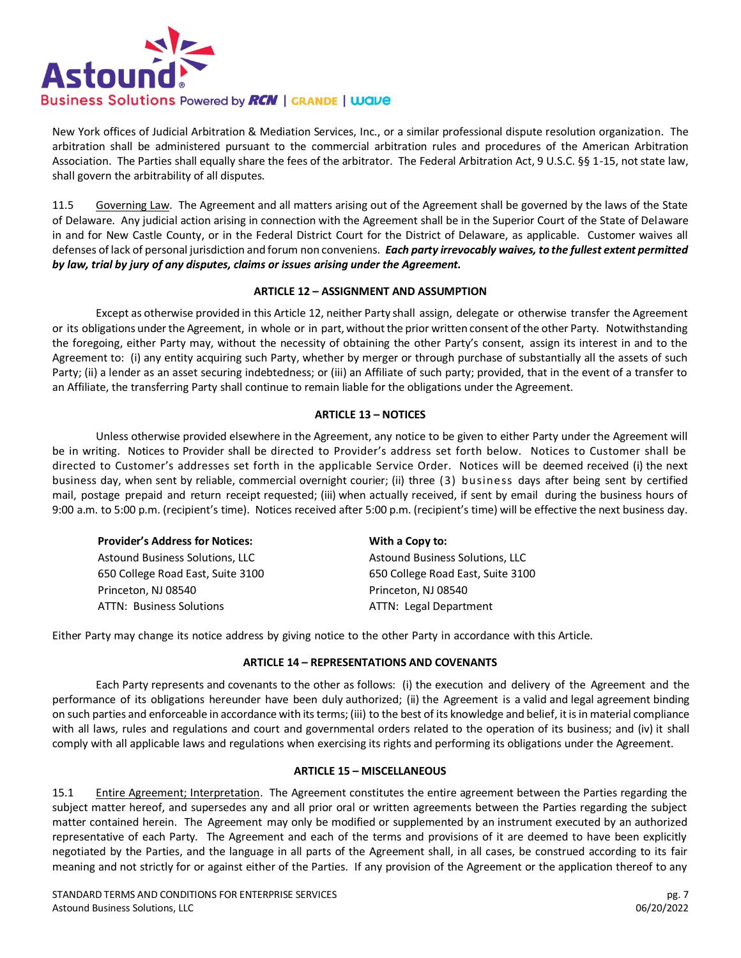

New York offices of Judicial Arbitration & Mediation Services, Inc., or a similar professional dispute resolution organization. The arbitration shall be administered pursuant to the commercial arbitration rules and procedures of the American Arbitration Association. The Parties shall equally share the fees of the arbitrator. The Federal Arbitration Act, 9 U.S.C. §§ 1-15, not state law, shall govern the arbitrability of all disputes.

11.5 Governing Law. The Agreement and all matters arising out of the Agreement shall be governed by the laws of the State of Delaware. Any judicial action arising in connection with the Agreement shall be in the Superior Court of the State of Delaware in and for New Castle County, or in the Federal District Court for the District of Delaware, as applicable. Customer waives all defenses of lack of personal jurisdiction and forum non conveniens. *Each party irrevocably waives, to the fullest extent permitted by law, trial by jury of any disputes, claims or issues arising under the Agreement.*

# **ARTICLE 12 – ASSIGNMENT AND ASSUMPTION**

Except as otherwise provided in this Article 12, neither Party shall assign, delegate or otherwise transfer the Agreement or its obligations under the Agreement, in whole or in part, without the prior written consent of the other Party. Notwithstanding the foregoing, either Party may, without the necessity of obtaining the other Party's consent, assign its interest in and to the Agreement to: (i) any entity acquiring such Party, whether by merger or through purchase of substantially all the assets of such Party; (ii) a lender as an asset securing indebtedness; or (iii) an Affiliate of such party; provided, that in the event of a transfer to an Affiliate, the transferring Party shall continue to remain liable for the obligations under the Agreement.

# **ARTICLE 13 – NOTICES**

Unless otherwise provided elsewhere in the Agreement, any notice to be given to either Party under the Agreement will be in writing. Notices to Provider shall be directed to Provider's address set forth below. Notices to Customer shall be directed to Customer's addresses set forth in the applicable Service Order. Notices will be deemed received (i) the next business day, when sent by reliable, commercial overnight courier; (ii) three (3) business days after being sent by certified mail, postage prepaid and return receipt requested; (iii) when actually received, if sent by email during the business hours of 9:00 a.m. to 5:00 p.m. (recipient's time). Notices received after 5:00 p.m. (recipient's time) will be effective the next business day.

| <b>Provider's Address for Notices:</b> | With a Copy to:                        |
|----------------------------------------|----------------------------------------|
| Astound Business Solutions, LLC        | <b>Astound Business Solutions, LLC</b> |
| 650 College Road East, Suite 3100      | 650 College Road East, Suite 3100      |
| Princeton, NJ 08540                    | Princeton, NJ 08540                    |
| <b>ATTN: Business Solutions</b>        | ATTN: Legal Department                 |

Either Party may change its notice address by giving notice to the other Party in accordance with this Article.

#### **ARTICLE 14 – REPRESENTATIONS AND COVENANTS**

Each Party represents and covenants to the other as follows: (i) the execution and delivery of the Agreement and the performance of its obligations hereunder have been duly authorized; (ii) the Agreement is a valid and legal agreement binding on such parties and enforceable in accordance with itsterms; (iii) to the best of its knowledge and belief, itisin material compliance with all laws, rules and regulations and court and governmental orders related to the operation of its business; and (iv) it shall comply with all applicable laws and regulations when exercising its rights and performing its obligations under the Agreement.

#### **ARTICLE 15 – MISCELLANEOUS**

15.1 Entire Agreement; Interpretation. The Agreement constitutes the entire agreement between the Parties regarding the subject matter hereof, and supersedes any and all prior oral or written agreements between the Parties regarding the subject matter contained herein. The Agreement may only be modified or supplemented by an instrument executed by an authorized representative of each Party. The Agreement and each of the terms and provisions of it are deemed to have been explicitly negotiated by the Parties, and the language in all parts of the Agreement shall, in all cases, be construed according to its fair meaning and not strictly for or against either of the Parties. If any provision of the Agreement or the application thereof to any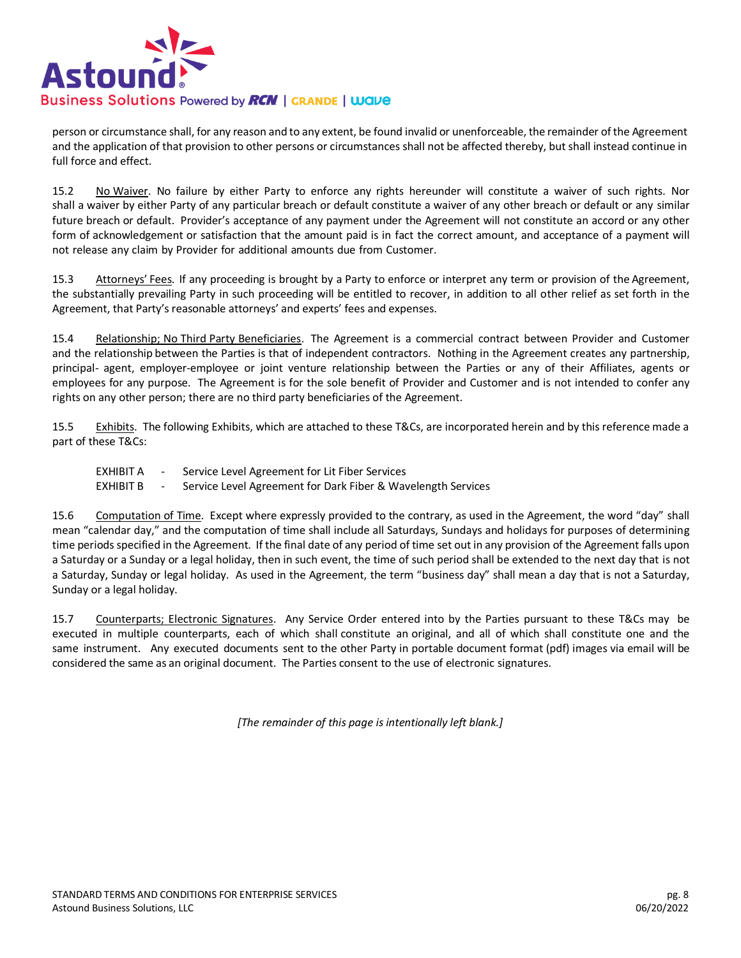

person or circumstance shall, for any reason and to any extent, be found invalid or unenforceable, the remainder of the Agreement and the application of that provision to other persons or circumstances shall not be affected thereby, but shall instead continue in full force and effect.

15.2 No Waiver. No failure by either Party to enforce any rights hereunder will constitute a waiver of such rights. Nor shall a waiver by either Party of any particular breach or default constitute a waiver of any other breach or default or any similar future breach or default. Provider's acceptance of any payment under the Agreement will not constitute an accord or any other form of acknowledgement or satisfaction that the amount paid is in fact the correct amount, and acceptance of a payment will not release any claim by Provider for additional amounts due from Customer.

15.3 Attorneys' Fees. If any proceeding is brought by a Party to enforce or interpret any term or provision of the Agreement, the substantially prevailing Party in such proceeding will be entitled to recover, in addition to all other relief as set forth in the Agreement, that Party's reasonable attorneys' and experts' fees and expenses.

15.4 Relationship; No Third Party Beneficiaries. The Agreement is a commercial contract between Provider and Customer and the relationship between the Parties is that of independent contractors. Nothing in the Agreement creates any partnership, principal- agent, employer-employee or joint venture relationship between the Parties or any of their Affiliates, agents or employees for any purpose. The Agreement is for the sole benefit of Provider and Customer and is not intended to confer any rights on any other person; there are no third party beneficiaries of the Agreement.

15.5 Exhibits. The following Exhibits, which are attached to these T&Cs, are incorporated herein and by this reference made a part of these T&Cs:

- EXHIBIT A Service Level Agreement for Lit Fiber Services
- EXHIBIT B Service Level Agreement for Dark Fiber & Wavelength Services

15.6 Computation of Time. Except where expressly provided to the contrary, as used in the Agreement, the word "day" shall mean "calendar day," and the computation of time shall include all Saturdays, Sundays and holidays for purposes of determining time periods specified in the Agreement. If the final date of any period of time set out in any provision of the Agreement falls upon a Saturday or a Sunday or a legal holiday, then in such event, the time of such period shall be extended to the next day that is not a Saturday, Sunday or legal holiday. As used in the Agreement, the term "business day" shall mean a day that is not a Saturday, Sunday or a legal holiday.

15.7 Counterparts; Electronic Signatures. Any Service Order entered into by the Parties pursuant to these T&Cs may be executed in multiple counterparts, each of which shall constitute an original, and all of which shall constitute one and the same instrument. Any executed documents sent to the other Party in portable document format (pdf) images via email will be considered the same as an original document. The Parties consent to the use of electronic signatures.

*[The remainder of this page is intentionally left blank.]*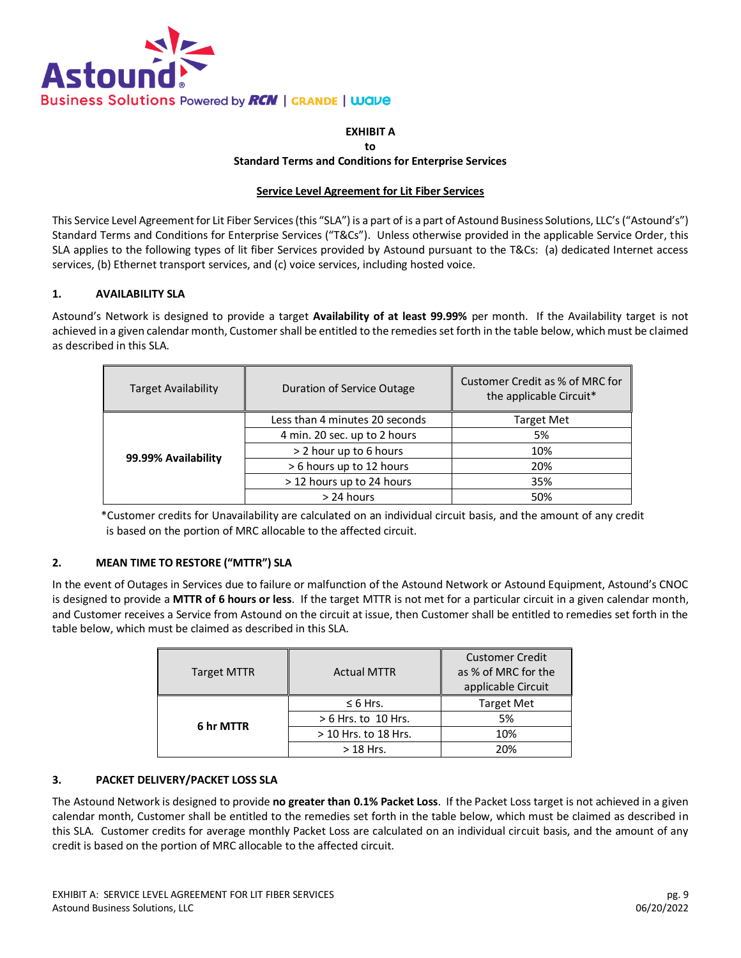

# **EXHIBIT A**

#### **to**

#### **Standard Terms and Conditions for Enterprise Services**

#### **Service Level Agreement for Lit Fiber Services**

This Service Level Agreement for Lit Fiber Services (this "SLA") is a part of is a part of Astound Business Solutions, LLC's ("Astound's") Standard Terms and Conditions for Enterprise Services ("T&Cs"). Unless otherwise provided in the applicable Service Order, this SLA applies to the following types of lit fiber Services provided by Astound pursuant to the T&Cs: (a) dedicated Internet access services, (b) Ethernet transport services, and (c) voice services, including hosted voice.

#### **1. AVAILABILITY SLA**

Astound's Network is designed to provide a target **Availability of at least 99.99%** per month. If the Availability target is not achieved in a given calendar month, Customer shall be entitled to the remedies set forth in the table below, which must be claimed as described in this SLA.

| <b>Target Availability</b> | Duration of Service Outage     | Customer Credit as % of MRC for<br>the applicable Circuit* |
|----------------------------|--------------------------------|------------------------------------------------------------|
| 99.99% Availability        | Less than 4 minutes 20 seconds | <b>Target Met</b>                                          |
|                            | 4 min. 20 sec. up to 2 hours   | 5%                                                         |
|                            | > 2 hour up to 6 hours         | 10%                                                        |
|                            | > 6 hours up to 12 hours       | 20%                                                        |
|                            | > 12 hours up to 24 hours      | 35%                                                        |
|                            | > 24 hours                     | 50%                                                        |

\*Customer credits for Unavailability are calculated on an individual circuit basis, and the amount of any credit is based on the portion of MRC allocable to the affected circuit.

#### **2. MEAN TIME TO RESTORE ("MTTR") SLA**

In the event of Outages in Services due to failure or malfunction of the Astound Network or Astound Equipment, Astound's CNOC is designed to provide a **MTTR of 6 hours or less**. If the target MTTR is not met for a particular circuit in a given calendar month, and Customer receives a Service from Astound on the circuit at issue, then Customer shall be entitled to remedies set forth in the table below, which must be claimed as described in this SLA.

| <b>Target MTTR</b> | <b>Actual MTTR</b>    | <b>Customer Credit</b><br>as % of MRC for the<br>applicable Circuit |
|--------------------|-----------------------|---------------------------------------------------------------------|
| 6 hr MTTR          | $\leq 6$ Hrs.         | <b>Target Met</b>                                                   |
|                    | $> 6$ Hrs. to 10 Hrs. | 5%                                                                  |
|                    | > 10 Hrs. to 18 Hrs.  | 10%                                                                 |
|                    | $>$ 18 Hrs.           | 20%                                                                 |

#### **3. PACKET DELIVERY/PACKET LOSS SLA**

The Astound Network is designed to provide **no greater than 0.1% Packet Loss**. If the Packet Loss target is not achieved in a given calendar month, Customer shall be entitled to the remedies set forth in the table below, which must be claimed as described in this SLA. Customer credits for average monthly Packet Loss are calculated on an individual circuit basis, and the amount of any credit is based on the portion of MRC allocable to the affected circuit.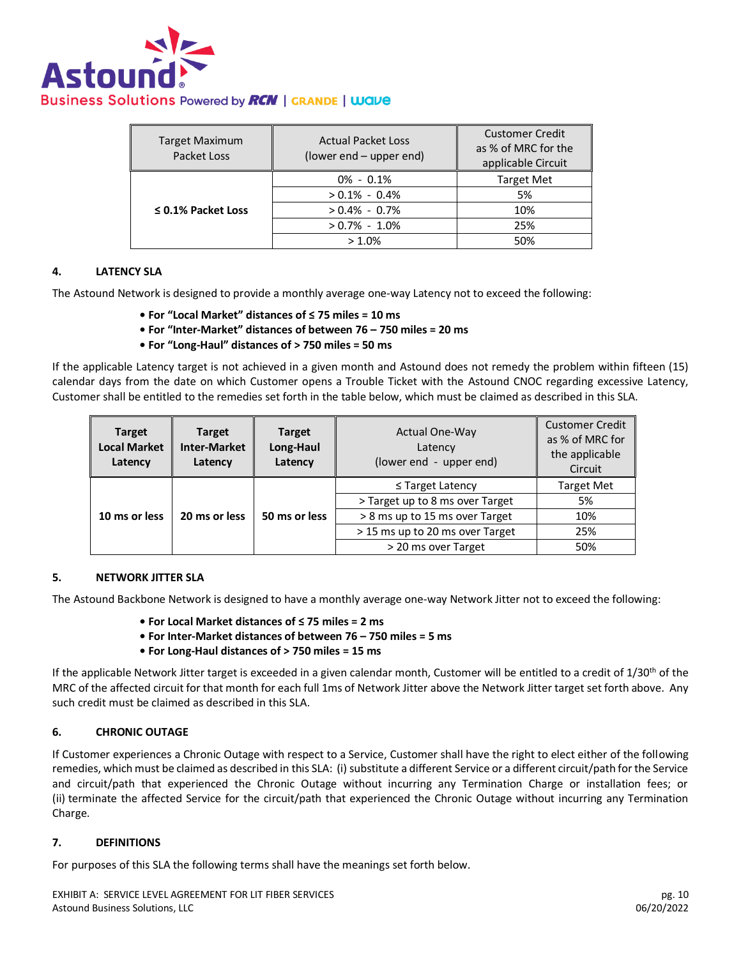

| <b>Target Maximum</b><br>Packet Loss | <b>Actual Packet Loss</b><br>(lower end – upper end) | <b>Customer Credit</b><br>as % of MRC for the<br>applicable Circuit |
|--------------------------------------|------------------------------------------------------|---------------------------------------------------------------------|
| $\leq$ 0.1% Packet Loss              | $0\% - 0.1\%$                                        | <b>Target Met</b>                                                   |
|                                      | $> 0.1\% - 0.4\%$                                    | 5%                                                                  |
|                                      | $> 0.4\% - 0.7\%$                                    | 10%                                                                 |
|                                      | $> 0.7\% - 1.0\%$                                    | 25%                                                                 |
|                                      | >1.0%                                                | 50%                                                                 |

#### **4. LATENCY SLA**

The Astound Network is designed to provide a monthly average one-way Latency not to exceed the following:

- **For "Local Market" distances of ≤ 75 miles = 10 ms**
- **For "Inter-Market" distances of between 76 – 750 miles = 20 ms**
- **For "Long-Haul" distances of > 750 miles = 50 ms**

If the applicable Latency target is not achieved in a given month and Astound does not remedy the problem within fifteen (15) calendar days from the date on which Customer opens a Trouble Ticket with the Astound CNOC regarding excessive Latency, Customer shall be entitled to the remedies set forth in the table below, which must be claimed as described in this SLA.

| <b>Target</b><br><b>Local Market</b><br>Latency | <b>Target</b><br><b>Inter-Market</b><br>Latency | <b>Target</b><br>Long-Haul<br>Latency | <b>Actual One-Way</b><br>Latency<br>(lower end - upper end) | <b>Customer Credit</b><br>as % of MRC for<br>the applicable<br>Circuit |
|-------------------------------------------------|-------------------------------------------------|---------------------------------------|-------------------------------------------------------------|------------------------------------------------------------------------|
| 20 ms or less<br>10 ms or less                  |                                                 | $\leq$ Target Latency                 | <b>Target Met</b>                                           |                                                                        |
|                                                 |                                                 |                                       | > Target up to 8 ms over Target                             | 5%                                                                     |
|                                                 | 50 ms or less                                   | > 8 ms up to 15 ms over Target        | 10%                                                         |                                                                        |
|                                                 |                                                 |                                       | > 15 ms up to 20 ms over Target                             | 25%                                                                    |
|                                                 |                                                 |                                       | > 20 ms over Target                                         | 50%                                                                    |

#### **5. NETWORK JITTER SLA**

The Astound Backbone Network is designed to have a monthly average one-way Network Jitter not to exceed the following:

- **For Local Market distances of ≤ 75 miles = 2 ms**
- **For Inter-Market distances of between 76 – 750 miles = 5 ms**
- **For Long-Haul distances of > 750 miles = 15 ms**

If the applicable Network Jitter target is exceeded in a given calendar month, Customer will be entitled to a credit of 1/30<sup>th</sup> of the MRC of the affected circuit for that month for each full 1ms of Network Jitter above the Network Jitter target set forth above. Any such credit must be claimed as described in this SLA.

#### **6. CHRONIC OUTAGE**

If Customer experiences a Chronic Outage with respect to a Service, Customer shall have the right to elect either of the following remedies, which must be claimed as described in this SLA: (i) substitute a different Service or a different circuit/path for the Service and circuit/path that experienced the Chronic Outage without incurring any Termination Charge or installation fees; or (ii) terminate the affected Service for the circuit/path that experienced the Chronic Outage without incurring any Termination Charge.

#### **7. DEFINITIONS**

For purposes of this SLA the following terms shall have the meanings set forth below.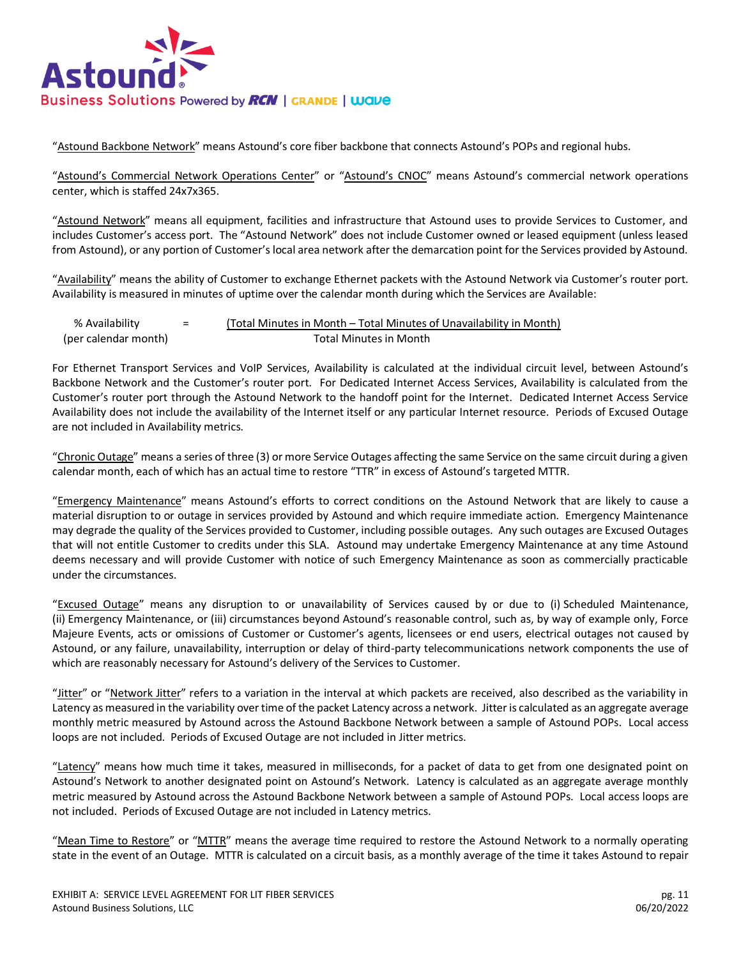

"Astound Backbone Network" means Astound's core fiber backbone that connects Astound's POPs and regional hubs.

"Astound's Commercial Network Operations Center" or "Astound's CNOC" means Astound's commercial network operations center, which is staffed 24x7x365.

"Astound Network" means all equipment, facilities and infrastructure that Astound uses to provide Services to Customer, and includes Customer's access port. The "Astound Network" does not include Customer owned or leased equipment (unless leased from Astound), or any portion of Customer's local area network after the demarcation point for the Services provided by Astound.

"Availability" means the ability of Customer to exchange Ethernet packets with the Astound Network via Customer's router port. Availability is measured in minutes of uptime over the calendar month during which the Services are Available:

| % Availability       | $\overline{\phantom{0}}$<br>$\overline{\phantom{0}}$ | (Total Minutes in Month – Total Minutes of Unavailability in Month) |
|----------------------|------------------------------------------------------|---------------------------------------------------------------------|
| (per calendar month) |                                                      | Total Minutes in Month                                              |

For Ethernet Transport Services and VoIP Services, Availability is calculated at the individual circuit level, between Astound's Backbone Network and the Customer's router port. For Dedicated Internet Access Services, Availability is calculated from the Customer's router port through the Astound Network to the handoff point for the Internet. Dedicated Internet Access Service Availability does not include the availability of the Internet itself or any particular Internet resource. Periods of Excused Outage are not included in Availability metrics.

"Chronic Outage" means a series of three (3) or more Service Outages affecting the same Service on the same circuit during a given calendar month, each of which has an actual time to restore "TTR" in excess of Astound's targeted MTTR.

"Emergency Maintenance" means Astound's efforts to correct conditions on the Astound Network that are likely to cause a material disruption to or outage in services provided by Astound and which require immediate action. Emergency Maintenance may degrade the quality of the Services provided to Customer, including possible outages. Any such outages are Excused Outages that will not entitle Customer to credits under this SLA. Astound may undertake Emergency Maintenance at any time Astound deems necessary and will provide Customer with notice of such Emergency Maintenance as soon as commercially practicable under the circumstances.

"Excused Outage" means any disruption to or unavailability of Services caused by or due to (i) Scheduled Maintenance, (ii) Emergency Maintenance, or (iii) circumstances beyond Astound's reasonable control, such as, by way of example only, Force Majeure Events, acts or omissions of Customer or Customer's agents, licensees or end users, electrical outages not caused by Astound, or any failure, unavailability, interruption or delay of third-party telecommunications network components the use of which are reasonably necessary for Astound's delivery of the Services to Customer.

"Jitter" or "Network Jitter" refers to a variation in the interval at which packets are received, also described as the variability in Latency as measured in the variability over time of the packet Latency across a network. Jitter is calculated as an aggregate average monthly metric measured by Astound across the Astound Backbone Network between a sample of Astound POPs. Local access loops are not included. Periods of Excused Outage are not included in Jitter metrics.

"Latency" means how much time it takes, measured in milliseconds, for a packet of data to get from one designated point on Astound's Network to another designated point on Astound's Network. Latency is calculated as an aggregate average monthly metric measured by Astound across the Astound Backbone Network between a sample of Astound POPs. Local access loops are not included. Periods of Excused Outage are not included in Latency metrics.

"Mean Time to Restore" or "MTTR" means the average time required to restore the Astound Network to a normally operating state in the event of an Outage. MTTR is calculated on a circuit basis, as a monthly average of the time it takes Astound to repair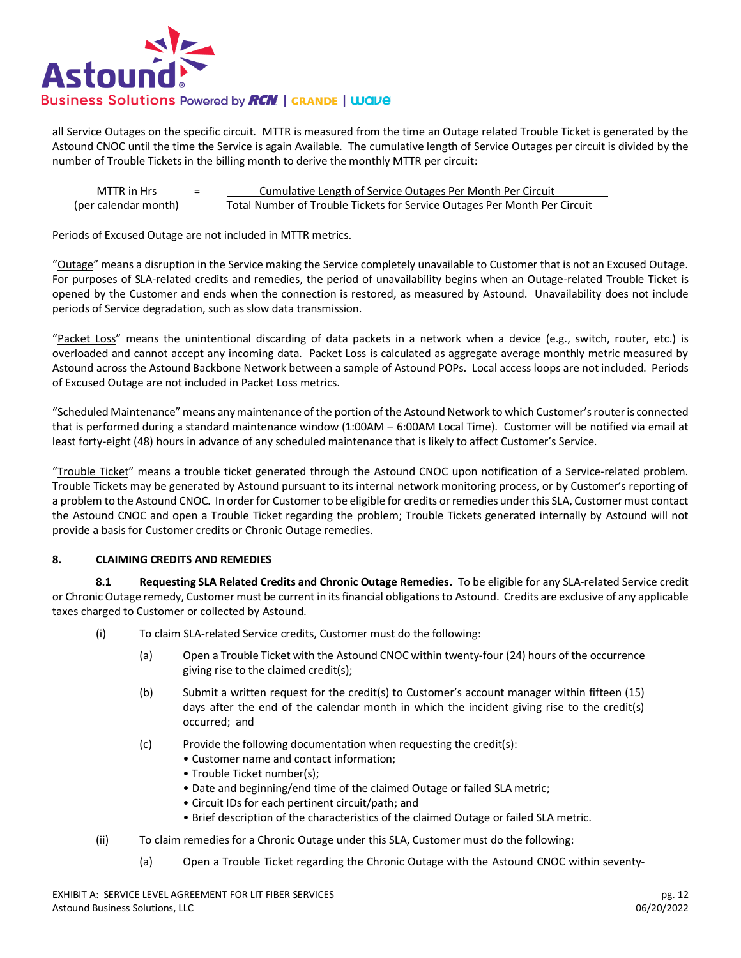

all Service Outages on the specific circuit. MTTR is measured from the time an Outage related Trouble Ticket is generated by the Astound CNOC until the time the Service is again Available. The cumulative length of Service Outages per circuit is divided by the number of Trouble Tickets in the billing month to derive the monthly MTTR per circuit:

MTTR in Hrs = Elementative Length of Service Outages Per Month Per Circuit (per calendar month) Total Number of Trouble Tickets for Service Outages Per Month Per Circuit

Periods of Excused Outage are not included in MTTR metrics.

"Outage" means a disruption in the Service making the Service completely unavailable to Customer that is not an Excused Outage. For purposes of SLA-related credits and remedies, the period of unavailability begins when an Outage-related Trouble Ticket is opened by the Customer and ends when the connection is restored, as measured by Astound. Unavailability does not include periods of Service degradation, such as slow data transmission.

"Packet Loss" means the unintentional discarding of data packets in a network when a device (e.g., switch, router, etc.) is overloaded and cannot accept any incoming data. Packet Loss is calculated as aggregate average monthly metric measured by Astound across the Astound Backbone Network between a sample of Astound POPs. Local access loops are not included. Periods of Excused Outage are not included in Packet Loss metrics.

"Scheduled Maintenance" means any maintenance of the portion of the Astound Network to which Customer's router is connected that is performed during a standard maintenance window (1:00AM – 6:00AM Local Time). Customer will be notified via email at least forty-eight (48) hours in advance of any scheduled maintenance that is likely to affect Customer's Service.

"Trouble Ticket" means a trouble ticket generated through the Astound CNOC upon notification of a Service-related problem. Trouble Tickets may be generated by Astound pursuant to its internal network monitoring process, or by Customer's reporting of a problem to the Astound CNOC. In order for Customer to be eligible for credits or remedies under this SLA, Customer must contact the Astound CNOC and open a Trouble Ticket regarding the problem; Trouble Tickets generated internally by Astound will not provide a basis for Customer credits or Chronic Outage remedies.

#### **8. CLAIMING CREDITS AND REMEDIES**

**8.1 Requesting SLA Related Credits and Chronic Outage Remedies.** To be eligible for any SLA-related Service credit or Chronic Outage remedy, Customer must be current in its financial obligations to Astound. Credits are exclusive of any applicable taxes charged to Customer or collected by Astound.

- (i) To claim SLA-related Service credits, Customer must do the following:
	- (a) Open a Trouble Ticket with the Astound CNOC within twenty-four (24) hours of the occurrence giving rise to the claimed credit(s);
	- (b) Submit a written request for the credit(s) to Customer's account manager within fifteen (15) days after the end of the calendar month in which the incident giving rise to the credit(s) occurred; and
	- (c) Provide the following documentation when requesting the credit(s):
		- Customer name and contact information;
		- Trouble Ticket number(s);
		- Date and beginning/end time of the claimed Outage or failed SLA metric;
		- Circuit IDs for each pertinent circuit/path; and
		- Brief description of the characteristics of the claimed Outage or failed SLA metric.
- (ii) To claim remedies for a Chronic Outage under this SLA, Customer must do the following:
	- (a) Open a Trouble Ticket regarding the Chronic Outage with the Astound CNOC within seventy-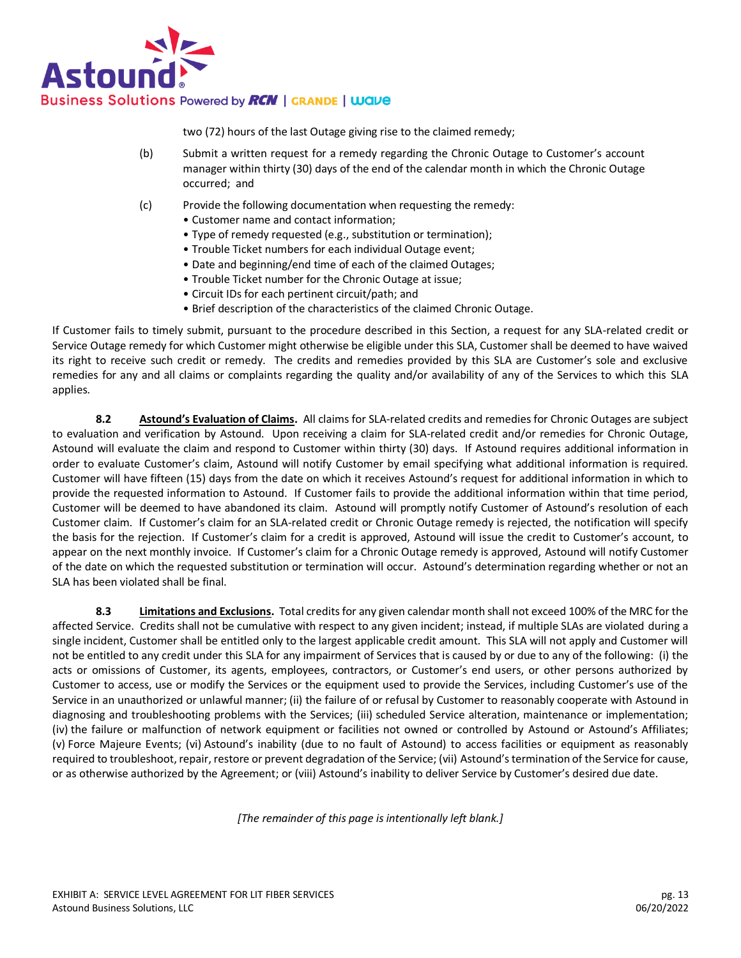

two (72) hours of the last Outage giving rise to the claimed remedy;

- (b) Submit a written request for a remedy regarding the Chronic Outage to Customer's account manager within thirty (30) days of the end of the calendar month in which the Chronic Outage occurred; and
- (c) Provide the following documentation when requesting the remedy:
	- Customer name and contact information;
	- Type of remedy requested (e.g., substitution or termination);
	- Trouble Ticket numbers for each individual Outage event;
	- Date and beginning/end time of each of the claimed Outages;
	- Trouble Ticket number for the Chronic Outage at issue;
	- Circuit IDs for each pertinent circuit/path; and
	- Brief description of the characteristics of the claimed Chronic Outage.

If Customer fails to timely submit, pursuant to the procedure described in this Section, a request for any SLA-related credit or Service Outage remedy for which Customer might otherwise be eligible under this SLA, Customer shall be deemed to have waived its right to receive such credit or remedy. The credits and remedies provided by this SLA are Customer's sole and exclusive remedies for any and all claims or complaints regarding the quality and/or availability of any of the Services to which this SLA applies.

**8.2 Astound's Evaluation of Claims.** All claims for SLA-related credits and remedies for Chronic Outages are subject to evaluation and verification by Astound. Upon receiving a claim for SLA-related credit and/or remedies for Chronic Outage, Astound will evaluate the claim and respond to Customer within thirty (30) days. If Astound requires additional information in order to evaluate Customer's claim, Astound will notify Customer by email specifying what additional information is required. Customer will have fifteen (15) days from the date on which it receives Astound's request for additional information in which to provide the requested information to Astound. If Customer fails to provide the additional information within that time period, Customer will be deemed to have abandoned its claim. Astound will promptly notify Customer of Astound's resolution of each Customer claim. If Customer's claim for an SLA-related credit or Chronic Outage remedy is rejected, the notification will specify the basis for the rejection. If Customer's claim for a credit is approved, Astound will issue the credit to Customer's account, to appear on the next monthly invoice. If Customer's claim for a Chronic Outage remedy is approved, Astound will notify Customer of the date on which the requested substitution or termination will occur. Astound's determination regarding whether or not an SLA has been violated shall be final.

**8.3 Limitations and Exclusions.** Total credits for any given calendar month shall not exceed 100% of the MRC for the affected Service. Credits shall not be cumulative with respect to any given incident; instead, if multiple SLAs are violated during a single incident, Customer shall be entitled only to the largest applicable credit amount. This SLA will not apply and Customer will not be entitled to any credit under this SLA for any impairment of Services that is caused by or due to any of the following: (i) the acts or omissions of Customer, its agents, employees, contractors, or Customer's end users, or other persons authorized by Customer to access, use or modify the Services or the equipment used to provide the Services, including Customer's use of the Service in an unauthorized or unlawful manner; (ii) the failure of or refusal by Customer to reasonably cooperate with Astound in diagnosing and troubleshooting problems with the Services; (iii) scheduled Service alteration, maintenance or implementation; (iv) the failure or malfunction of network equipment or facilities not owned or controlled by Astound or Astound's Affiliates; (v) Force Majeure Events; (vi) Astound's inability (due to no fault of Astound) to access facilities or equipment as reasonably required to troubleshoot, repair, restore or prevent degradation of the Service; (vii) Astound's termination of the Service for cause, or as otherwise authorized by the Agreement; or (viii) Astound's inability to deliver Service by Customer's desired due date.

*[The remainder of this page is intentionally left blank.]*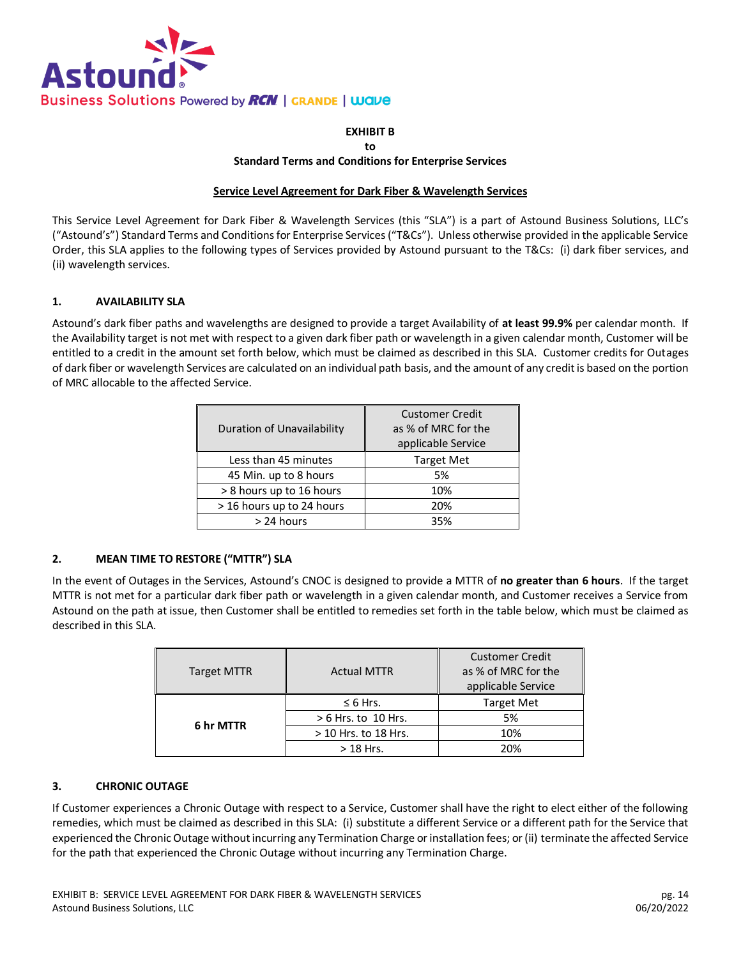

#### **EXHIBIT B to Standard Terms and Conditions for Enterprise Services**

### **Service Level Agreement for Dark Fiber & Wavelength Services**

This Service Level Agreement for Dark Fiber & Wavelength Services (this "SLA") is a part of Astound Business Solutions, LLC's ("Astound's") Standard Terms and Conditions for Enterprise Services ("T&Cs"). Unless otherwise provided in the applicable Service Order, this SLA applies to the following types of Services provided by Astound pursuant to the T&Cs: (i) dark fiber services, and (ii) wavelength services.

# **1. AVAILABILITY SLA**

Astound's dark fiber paths and wavelengths are designed to provide a target Availability of **at least 99.9%** per calendar month. If the Availability target is not met with respect to a given dark fiber path or wavelength in a given calendar month, Customer will be entitled to a credit in the amount set forth below, which must be claimed as described in this SLA. Customer credits for Outages of dark fiber or wavelength Services are calculated on an individual path basis, and the amount of any credit is based on the portion of MRC allocable to the affected Service.

|                            | <b>Customer Credit</b> |  |
|----------------------------|------------------------|--|
| Duration of Unavailability | as % of MRC for the    |  |
|                            | applicable Service     |  |
| Less than 45 minutes       | <b>Target Met</b>      |  |
| 45 Min. up to 8 hours      | 5%                     |  |
| > 8 hours up to 16 hours   | 10%                    |  |
| > 16 hours up to 24 hours  | 20%                    |  |
| > 24 hours                 | 35%                    |  |

# **2. MEAN TIME TO RESTORE ("MTTR") SLA**

In the event of Outages in the Services, Astound's CNOC is designed to provide a MTTR of **no greater than 6 hours**. If the target MTTR is not met for a particular dark fiber path or wavelength in a given calendar month, and Customer receives a Service from Astound on the path at issue, then Customer shall be entitled to remedies set forth in the table below, which must be claimed as described in this SLA.

| <b>Target MTTR</b> | <b>Actual MTTR</b>    | <b>Customer Credit</b><br>as % of MRC for the<br>applicable Service |
|--------------------|-----------------------|---------------------------------------------------------------------|
| 6 hr MTTR          | $\leq 6$ Hrs.         | <b>Target Met</b>                                                   |
|                    | $> 6$ Hrs. to 10 Hrs. | 5%                                                                  |
|                    | > 10 Hrs. to 18 Hrs.  | 10%                                                                 |
|                    | $>$ 18 Hrs.           | 20%                                                                 |

# **3. CHRONIC OUTAGE**

If Customer experiences a Chronic Outage with respect to a Service, Customer shall have the right to elect either of the following remedies, which must be claimed as described in this SLA: (i) substitute a different Service or a different path for the Service that experienced the Chronic Outage without incurring any Termination Charge or installation fees; or (ii) terminate the affected Service for the path that experienced the Chronic Outage without incurring any Termination Charge.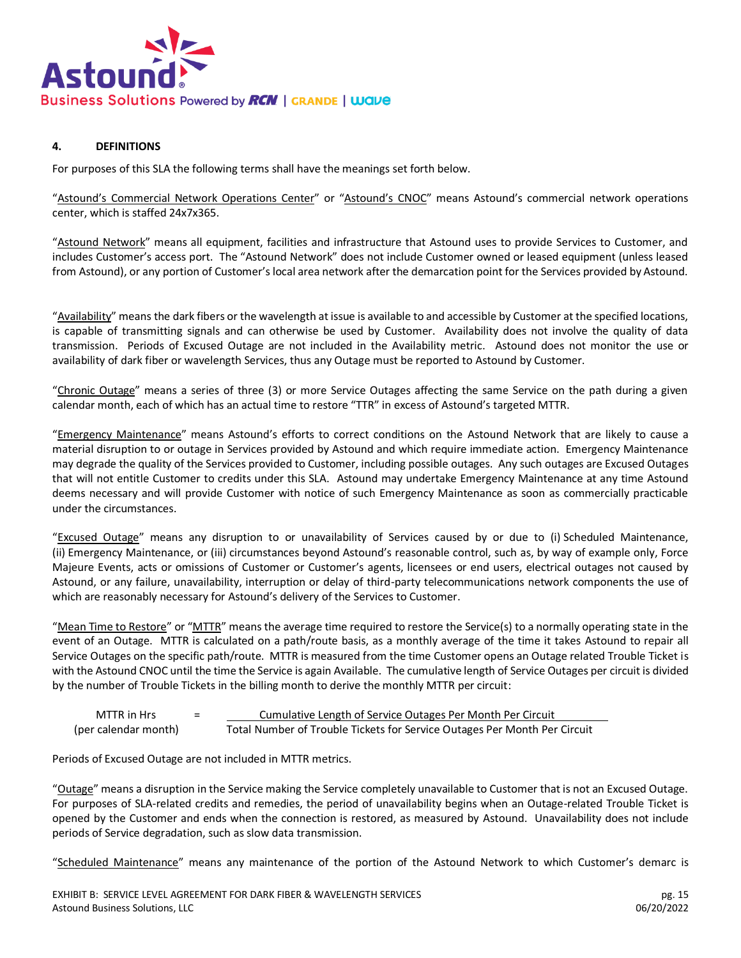

# **4. DEFINITIONS**

For purposes of this SLA the following terms shall have the meanings set forth below.

"Astound's Commercial Network Operations Center" or "Astound's CNOC" means Astound's commercial network operations center, which is staffed 24x7x365.

"Astound Network" means all equipment, facilities and infrastructure that Astound uses to provide Services to Customer, and includes Customer's access port. The "Astound Network" does not include Customer owned or leased equipment (unless leased from Astound), or any portion of Customer's local area network after the demarcation point for the Services provided by Astound.

"Availability" means the dark fibers or the wavelength at issue is available to and accessible by Customer at the specified locations, is capable of transmitting signals and can otherwise be used by Customer. Availability does not involve the quality of data transmission. Periods of Excused Outage are not included in the Availability metric. Astound does not monitor the use or availability of dark fiber or wavelength Services, thus any Outage must be reported to Astound by Customer.

"Chronic Outage" means a series of three (3) or more Service Outages affecting the same Service on the path during a given calendar month, each of which has an actual time to restore "TTR" in excess of Astound's targeted MTTR.

"Emergency Maintenance" means Astound's efforts to correct conditions on the Astound Network that are likely to cause a material disruption to or outage in Services provided by Astound and which require immediate action. Emergency Maintenance may degrade the quality of the Services provided to Customer, including possible outages. Any such outages are Excused Outages that will not entitle Customer to credits under this SLA. Astound may undertake Emergency Maintenance at any time Astound deems necessary and will provide Customer with notice of such Emergency Maintenance as soon as commercially practicable under the circumstances.

"Excused Outage" means any disruption to or unavailability of Services caused by or due to (i) Scheduled Maintenance, (ii) Emergency Maintenance, or (iii) circumstances beyond Astound's reasonable control, such as, by way of example only, Force Majeure Events, acts or omissions of Customer or Customer's agents, licensees or end users, electrical outages not caused by Astound, or any failure, unavailability, interruption or delay of third-party telecommunications network components the use of which are reasonably necessary for Astound's delivery of the Services to Customer.

"Mean Time to Restore" or "MTTR" means the average time required to restore the Service(s) to a normally operating state in the event of an Outage. MTTR is calculated on a path/route basis, as a monthly average of the time it takes Astound to repair all Service Outages on the specific path/route. MTTR is measured from the time Customer opens an Outage related Trouble Ticket is with the Astound CNOC until the time the Service is again Available. The cumulative length of Service Outages per circuit is divided by the number of Trouble Tickets in the billing month to derive the monthly MTTR per circuit:

MTTR in Hrs = Elementative Length of Service Outages Per Month Per Circuit (per calendar month) Total Number of Trouble Tickets for Service Outages Per Month Per Circuit

Periods of Excused Outage are not included in MTTR metrics.

"Outage" means a disruption in the Service making the Service completely unavailable to Customer that is not an Excused Outage. For purposes of SLA-related credits and remedies, the period of unavailability begins when an Outage-related Trouble Ticket is opened by the Customer and ends when the connection is restored, as measured by Astound. Unavailability does not include periods of Service degradation, such as slow data transmission.

"Scheduled Maintenance" means any maintenance of the portion of the Astound Network to which Customer's demarc is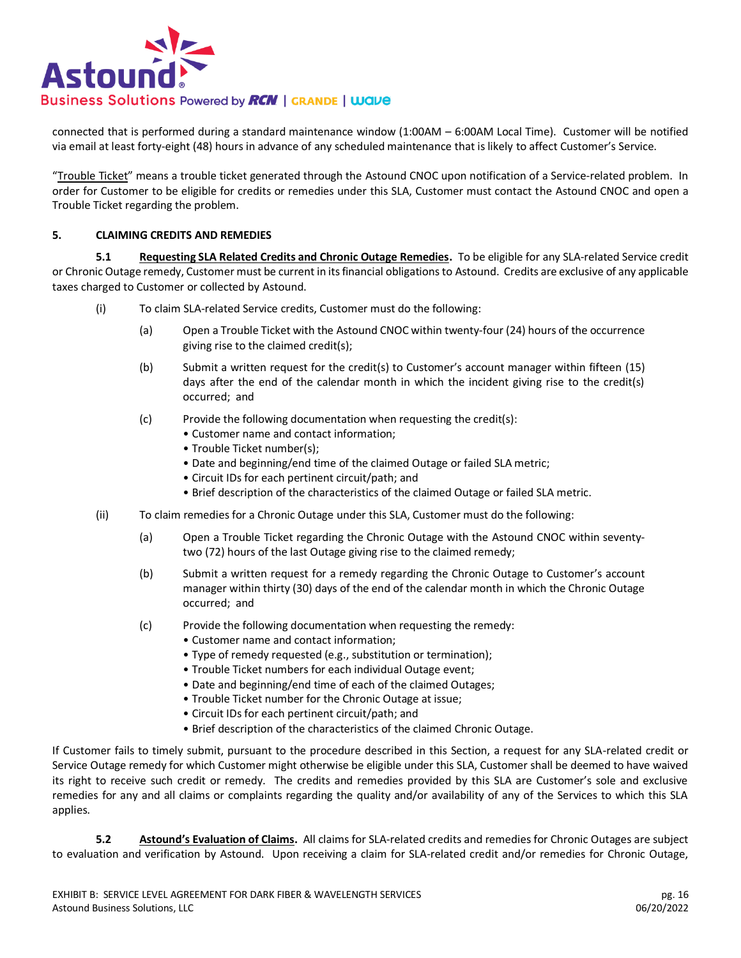

connected that is performed during a standard maintenance window (1:00AM – 6:00AM Local Time). Customer will be notified via email at least forty-eight (48) hours in advance of any scheduled maintenance that is likely to affect Customer's Service.

"Trouble Ticket" means a trouble ticket generated through the Astound CNOC upon notification of a Service-related problem. In order for Customer to be eligible for credits or remedies under this SLA, Customer must contact the Astound CNOC and open a Trouble Ticket regarding the problem.

#### **5. CLAIMING CREDITS AND REMEDIES**

**5.1 Requesting SLA Related Credits and Chronic Outage Remedies.** To be eligible for any SLA-related Service credit or Chronic Outage remedy, Customer must be current in its financial obligations to Astound. Credits are exclusive of any applicable taxes charged to Customer or collected by Astound.

- (i) To claim SLA-related Service credits, Customer must do the following:
	- (a) Open a Trouble Ticket with the Astound CNOC within twenty-four (24) hours of the occurrence giving rise to the claimed credit(s);
	- (b) Submit a written request for the credit(s) to Customer's account manager within fifteen (15) days after the end of the calendar month in which the incident giving rise to the credit(s) occurred; and
	- (c) Provide the following documentation when requesting the credit(s):
		- Customer name and contact information;
		- Trouble Ticket number(s);
		- Date and beginning/end time of the claimed Outage or failed SLA metric;
		- Circuit IDs for each pertinent circuit/path; and
		- Brief description of the characteristics of the claimed Outage or failed SLA metric.
- (ii) To claim remedies for a Chronic Outage under this SLA, Customer must do the following:
	- (a) Open a Trouble Ticket regarding the Chronic Outage with the Astound CNOC within seventytwo (72) hours of the last Outage giving rise to the claimed remedy;
	- (b) Submit a written request for a remedy regarding the Chronic Outage to Customer's account manager within thirty (30) days of the end of the calendar month in which the Chronic Outage occurred; and
	- (c) Provide the following documentation when requesting the remedy:
		- Customer name and contact information;
		- Type of remedy requested (e.g., substitution or termination);
		- Trouble Ticket numbers for each individual Outage event;
		- Date and beginning/end time of each of the claimed Outages;
		- Trouble Ticket number for the Chronic Outage at issue;
		- Circuit IDs for each pertinent circuit/path; and
		- Brief description of the characteristics of the claimed Chronic Outage.

If Customer fails to timely submit, pursuant to the procedure described in this Section, a request for any SLA-related credit or Service Outage remedy for which Customer might otherwise be eligible under this SLA, Customer shall be deemed to have waived its right to receive such credit or remedy. The credits and remedies provided by this SLA are Customer's sole and exclusive remedies for any and all claims or complaints regarding the quality and/or availability of any of the Services to which this SLA applies.

**5.2 Astound's Evaluation of Claims.** All claims for SLA-related credits and remedies for Chronic Outages are subject to evaluation and verification by Astound. Upon receiving a claim for SLA-related credit and/or remedies for Chronic Outage,